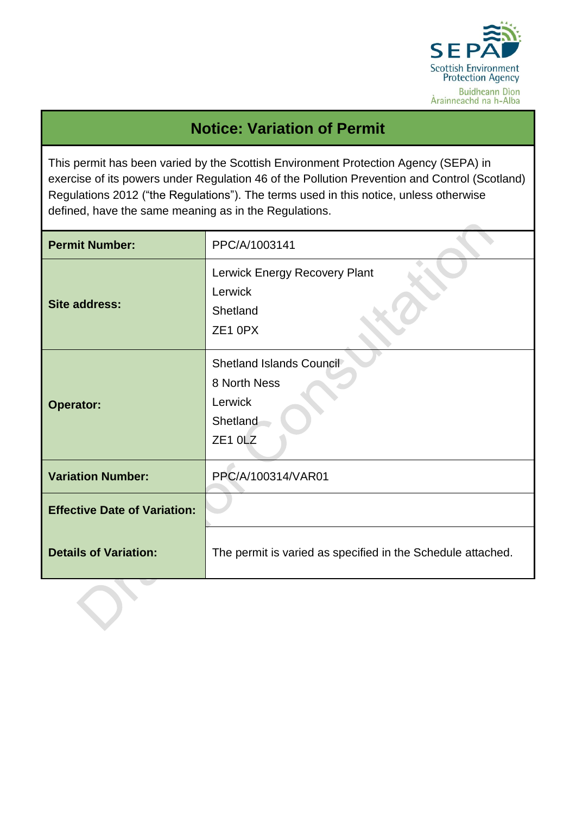

## **Notice: Variation of Permit**

This permit has been varied by the Scottish Environment Protection Agency (SEPA) in exercise of its powers under Regulation 46 of the Pollution Prevention and Control (Scotland) Regulations 2012 ("the Regulations"). The terms used in this notice, unless otherwise defined, have the same meaning as in the Regulations.

| <b>Permit Number:</b>               | PPC/A/1003141                                                                          |
|-------------------------------------|----------------------------------------------------------------------------------------|
| Site address:                       | Lerwick Energy Recovery Plant<br>Lerwick<br>Shetland<br>ZE1 0PX                        |
| <b>Operator:</b>                    | Shetland Islands Council<br>8 North Ness<br>Lerwick<br>Shetland<br>ZE <sub>1</sub> OLZ |
| <b>Variation Number:</b>            | PPC/A/100314/VAR01                                                                     |
| <b>Effective Date of Variation:</b> |                                                                                        |
| <b>Details of Variation:</b>        | The permit is varied as specified in the Schedule attached.                            |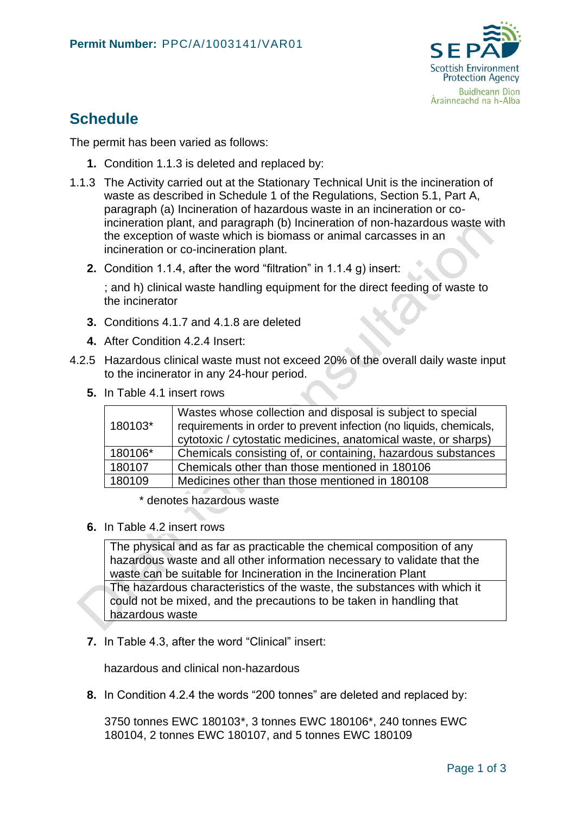

## **Schedule**

The permit has been varied as follows:

- **1.** Condition 1.1.3 is deleted and replaced by:
- 1.1.3 The Activity carried out at the Stationary Technical Unit is the incineration of waste as described in Schedule 1 of the Regulations, Section 5.1, Part A, paragraph (a) Incineration of hazardous waste in an incineration or coincineration plant, and paragraph (b) Incineration of non-hazardous waste with the exception of waste which is biomass or animal carcasses in an incineration or co-incineration plant.
	- **2.** Condition 1.1.4, after the word "filtration" in 1.1.4 g) insert:

; and h) clinical waste handling equipment for the direct feeding of waste to the incinerator

- **3.** Conditions 4.1.7 and 4.1.8 are deleted
- **4.** After Condition 4.2.4 Insert:
- 4.2.5 Hazardous clinical waste must not exceed 20% of the overall daily waste input to the incinerator in any 24-hour period.
	- **5.** In Table 4.1 insert rows

| 180103* | Wastes whose collection and disposal is subject to special<br>requirements in order to prevent infection (no liquids, chemicals,<br>cytotoxic / cytostatic medicines, anatomical waste, or sharps) |
|---------|----------------------------------------------------------------------------------------------------------------------------------------------------------------------------------------------------|
| 180106* | Chemicals consisting of, or containing, hazardous substances                                                                                                                                       |
| 180107  | Chemicals other than those mentioned in 180106                                                                                                                                                     |
| 180109  | Medicines other than those mentioned in 180108                                                                                                                                                     |

\* denotes hazardous waste

**6.** In Table 4.2 insert rows

The physical and as far as practicable the chemical composition of any hazardous waste and all other information necessary to validate that the waste can be suitable for Incineration in the Incineration Plant The hazardous characteristics of the waste, the substances with which it could not be mixed, and the precautions to be taken in handling that hazardous waste

**7.** In Table 4.3, after the word "Clinical" insert:

hazardous and clinical non-hazardous

**8.** In Condition 4.2.4 the words "200 tonnes" are deleted and replaced by:

3750 tonnes EWC 180103\*, 3 tonnes EWC 180106\*, 240 tonnes EWC 180104, 2 tonnes EWC 180107, and 5 tonnes EWC 180109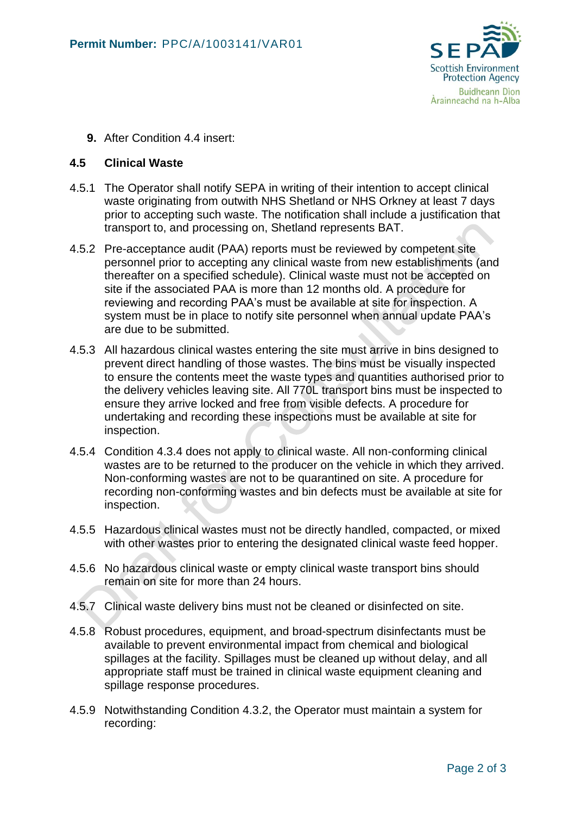

**9.** After Condition 4.4 insert:

## **4.5 Clinical Waste**

- 4.5.1 The Operator shall notify SEPA in writing of their intention to accept clinical waste originating from outwith NHS Shetland or NHS Orkney at least 7 days prior to accepting such waste. The notification shall include a justification that transport to, and processing on, Shetland represents BAT.
- 4.5.2 Pre-acceptance audit (PAA) reports must be reviewed by competent site personnel prior to accepting any clinical waste from new establishments (and thereafter on a specified schedule). Clinical waste must not be accepted on site if the associated PAA is more than 12 months old. A procedure for reviewing and recording PAA's must be available at site for inspection. A system must be in place to notify site personnel when annual update PAA's are due to be submitted.
- 4.5.3 All hazardous clinical wastes entering the site must arrive in bins designed to prevent direct handling of those wastes. The bins must be visually inspected to ensure the contents meet the waste types and quantities authorised prior to the delivery vehicles leaving site. All 770L transport bins must be inspected to ensure they arrive locked and free from visible defects. A procedure for undertaking and recording these inspections must be available at site for inspection.
- 4.5.4 Condition 4.3.4 does not apply to clinical waste. All non-conforming clinical wastes are to be returned to the producer on the vehicle in which they arrived. Non-conforming wastes are not to be quarantined on site. A procedure for recording non-conforming wastes and bin defects must be available at site for inspection.
- 4.5.5 Hazardous clinical wastes must not be directly handled, compacted, or mixed with other wastes prior to entering the designated clinical waste feed hopper.
- 4.5.6 No hazardous clinical waste or empty clinical waste transport bins should remain on site for more than 24 hours.
- 4.5.7 Clinical waste delivery bins must not be cleaned or disinfected on site.
- 4.5.8 Robust procedures, equipment, and broad-spectrum disinfectants must be available to prevent environmental impact from chemical and biological spillages at the facility. Spillages must be cleaned up without delay, and all appropriate staff must be trained in clinical waste equipment cleaning and spillage response procedures.
- 4.5.9 Notwithstanding Condition 4.3.2, the Operator must maintain a system for recording: